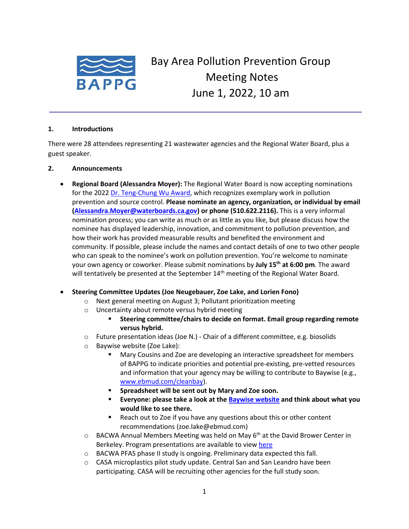

# Bay Area Pollution Prevention Group Meeting Notes June 1, 2022, 10 am

#### **1. Introductions**

There were 28 attendees representing 21 wastewater agencies and the Regional Water Board, plus a guest speaker.

### **2. Announcements**

• **Regional Board (Alessandra Moyer):** The Regional Water Board is now accepting nominations for the 202[2 Dr. Teng-Chung Wu Award,](https://www.waterboards.ca.gov/sanfranciscobay/water_issues/programs/dr_teng_chung_wu_award.html) which recognizes exemplary work in pollution prevention and source control. **Please nominate an agency, organization, or individual by email [\(Alessandra.Moyer@waterboards.ca.gov\)](mailto:Alessandra.Moyer@waterboards.ca.gov) or phone (510.622.2116).** This is a very informal nomination process; you can write as much or as little as you like, but please discuss how the nominee has displayed leadership, innovation, and commitment to pollution prevention, and how their work has provided measurable results and benefited the environment and community. If possible, please include the names and contact details of one to two other people who can speak to the nominee's work on pollution prevention. You're welcome to nominate your own agency or coworker. Please submit nominations by **July 15th at 6:00 pm**. The award will tentatively be presented at the September  $14<sup>th</sup>$  meeting of the Regional Water Board.

### • **Steering Committee Updates (Joe Neugebauer, Zoe Lake, and Lorien Fono)**

- o Next general meeting on August 3; Pollutant prioritization meeting
- o Uncertainty about remote versus hybrid meeting
	- Steering committee/chairs to decide on format. Email group regarding remote **versus hybrid.**
- o Future presentation ideas (Joe N.) Chair of a different committee, e.g. biosolids
- o Baywise website (Zoe Lake):
	- Mary Cousins and Zoe are developing an interactive spreadsheet for members of BAPPG to indicate priorities and potential pre-existing, pre-vetted resources and information that your agency may be willing to contribute to Baywise (e.g., [www.ebmud.com/cleanbay\)](http://www.ebmud.com/cleanbay).
	- Spreadsheet will be sent out by Mary and Zoe soon.
	- **Everyone: please take a look at the [Baywise website](https://baywise.org/) and think about what you would like to see there.**
	- Reach out to Zoe if you have any questions about this or other content recommendations (zoe.lake@ebmud.com)
- $\circ$  BACWA Annual Members Meeting was held on May 6<sup>th</sup> at the David Brower Center in Berkeley. Program presentations are available to vie[w here](https://bacwa.org/bacwa-annual-members-meeting-2022/)
- o BACWA PFAS phase II study is ongoing. Preliminary data expected this fall.
- o CASA microplastics pilot study update. Central San and San Leandro have been participating. CASA will be recruiting other agencies for the full study soon.